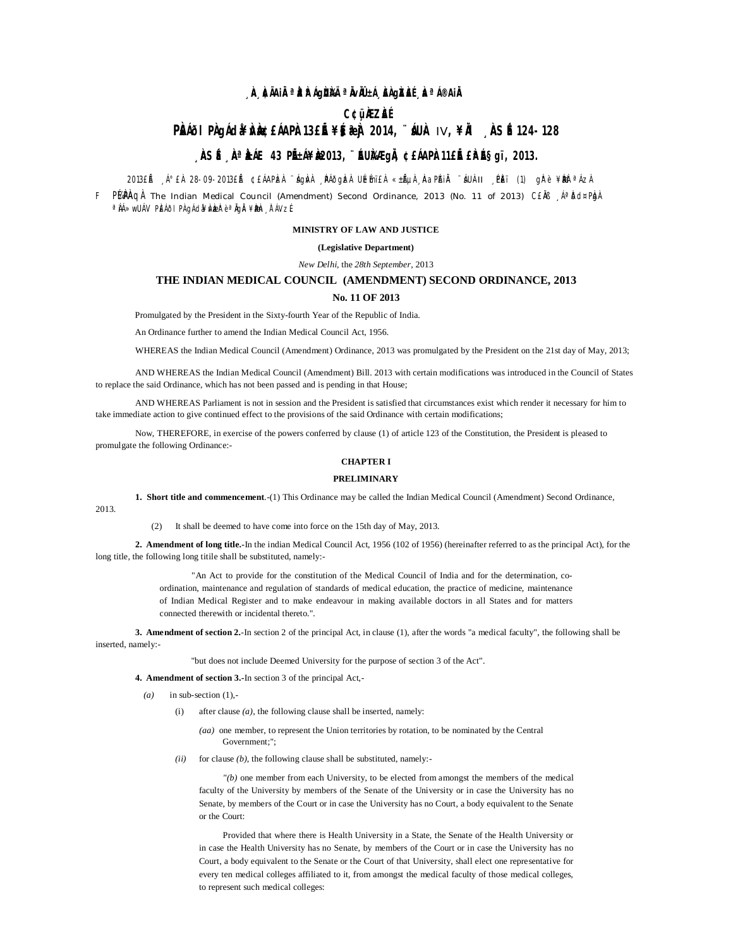## **, À À**IAIR**¤ÀAIGÙÙ ªIVIL±I, <del>À</del>GÀLE, ÀªI®AIR**

### C¢üÀZÀÉ

# PÈNŐI PÀ JÁ GA PÀB DE LÁ APÀ 13 E LE ¥ SERÀ 2014, " SUÀ IV, ¥IÀ NSÉ 124-128

## **ASÉ A A**AE 43 PIEÁ¥È2013, "EURAE GIA ¢£ÁAPÀ11£IÉ £ÀAɧgï, 2013.

2013£Á \_A°£À 28-09-2013£Á ¢£ÁAPbzÀ `ágivÀ \_PÁðgbzÀ Ulémi£À «±ÁµÀ LAaPlAiÄ `áUil-II \_Ph£ï (1) gjre ¥bble Azh

F PUPAGA The Indian Medical Council (Amendment) Second Ordinance, 2013 (No. 11 of 2013) CEAB A<sup>a</sup> Dd¤Pha <sup>a</sup> NA≫wUÁV PLEÁðI PA gÁda¥MazaPèªNgAi¥Deh TAVzÉ

### MINISTRY OF LAW AND JUSTICE

#### (Legislative Department)

New Delhi, the 28th September, 2013

# THE INDIAN MEDICAL COUNCIL (AMENDMENT) SECOND ORDINANCE, 2013

#### No. 11 OF 2013

Promulgated by the President in the Sixty-fourth Year of the Republic of India.

An Ordinance further to amend the Indian Medical Council Act, 1956.

WHEREAS the Indian Medical Council (Amendment) Ordinance, 2013 was promulgated by the President on the 21st day of May, 2013;

AND WHEREAS the Indian Medical Council (Amendment) Bill. 2013 with certain modifications was introduced in the Council of States to replace the said Ordinance, which has not been passed and is pending in that House;

AND WHEREAS Parliament is not in session and the President is satisfied that circumstances exist which render it necessary for him to take immediate action to give continued effect to the provisions of the said Ordinance with certain modifications;

Now, THEREFORE, in exercise of the powers conferred by clause (1) of article 123 of the Constitution, the President is pleased to promulgate the following Ordinance:-

### **CHAPTER I**

#### **PRELIMINARY**

1. Short title and commencement.-(1) This Ordinance may be called the Indian Medical Council (Amendment) Second Ordinance,

2013.

(2) It shall be deemed to have come into force on the 15th day of May, 2013.

2. Amendment of long title. In the indian Medical Council Act, 1956 (102 of 1956) (hereinafter referred to as the principal Act), for the long title, the following long title shall be substituted, namely:-

> "An Act to provide for the constitution of the Medical Council of India and for the determination, coordination, maintenance and regulation of standards of medical education, the practice of medicine, maintenance of Indian Medical Register and to make endeavour in making available doctors in all States and for matters connected therewith or incidental thereto.".

3. Amendment of section 2.-In section 2 of the principal Act, in clause (1), after the words "a medical faculty", the following shall be inserted, namely:-

"but does not include Deemed University for the purpose of section 3 of the Act".

4. Amendment of section 3.-In section 3 of the principal Act,-

- $(a)$ in sub-section  $(1)$ ,
	- after clause  $(a)$ , the following clause shall be inserted, namely:  $(i)$

 $(aa)$  one member, to represent the Union territories by rotation, to be nominated by the Central Government:":

(ii) for clause (b), the following clause shall be substituted, namely:-

 $''(b)$  one member from each University, to be elected from amongst the members of the medical faculty of the University by members of the Senate of the University or in case the University has no Senate, by members of the Court or in case the University has no Court, a body equivalent to the Senate or the Court:

Provided that where there is Health University in a State, the Senate of the Health University or in case the Health University has no Senate, by members of the Court or in case the University has no Court, a body equivalent to the Senate or the Court of that University, shall elect one representative for every ten medical colleges affiliated to it, from amongst the medical faculty of those medical colleges, to represent such medical colleges: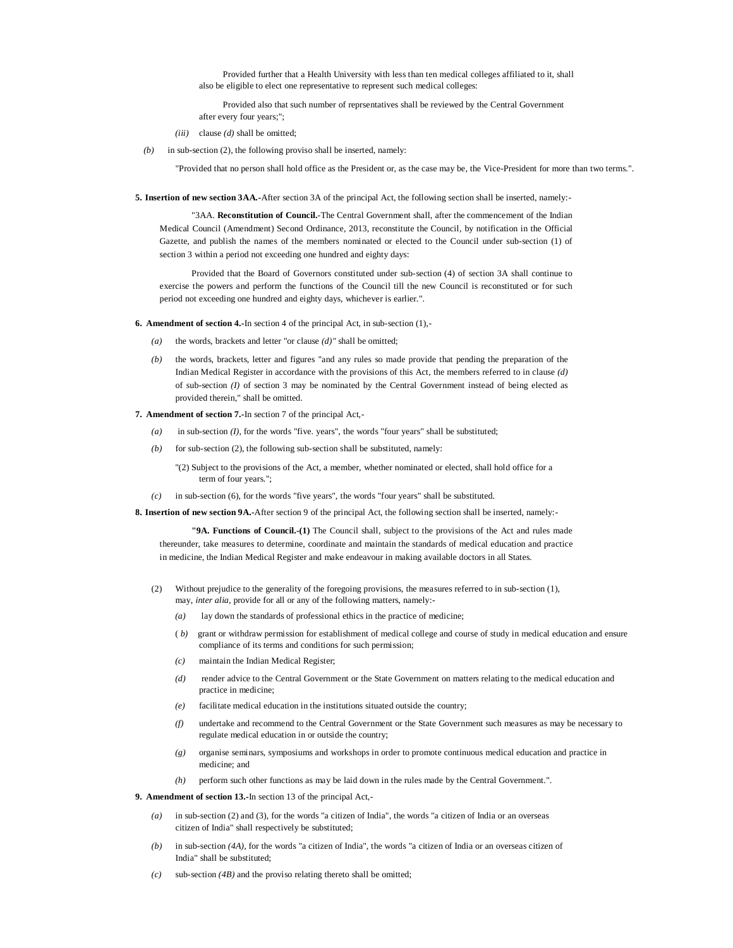Provided further that a Health University with less than ten medical colleges affiliated to it, shall also be eligible to elect one representative to represent such medical colleges:

Provided also that such number of reprsentatives shall be reviewed by the Central Government after every four years;";

*(iii)* clause *(d)* shall be omitted;

*(b)* in sub-section (2), the following proviso shall be inserted, namely:

"Provided that no person shall hold office as the President or, as the case may be, the Vice-President for more than two terms.".

**5. Insertion of new section 3AA.-**After section 3A of the principal Act, the following section shall be inserted, namely:-

"3AA. **Reconstitution of Council.**-The Central Government shall, after the commencement of the Indian Medical Council (Amendment) Second Ordinance, 2013, reconstitute the Council, by notification in the Official Gazette, and publish the names of the members nominated or elected to the Council under sub-section (1) of section 3 within a period not exceeding one hundred and eighty days:

Provided that the Board of Governors constituted under sub-section (4) of section 3A shall continue to exercise the powers and perform the functions of the Council till the new Council is reconstituted or for such period not exceeding one hundred and eighty days, whichever is earlier.".

**6. Amendment of section 4.-**In section 4 of the principal Act, in sub-section (1),-

- *(a)* the words, brackets and letter "or clause *(d)"* shall be omitted;
- *(b)* the words, brackets, letter and figures "and any rules so made provide that pending the preparation of the Indian Medical Register in accordance with the provisions of this Act, the members referred to in clause *(d)* of sub-section *(I)* of section 3 may be nominated by the Central Government instead of being elected as provided therein," shall be omitted.
- **7. Amendment of section 7.-**In section 7 of the principal Act,-
	- *(a)* in sub-section *(I),* for the words "five. years", the words "four years" shall be substituted;
	- $(b)$  for sub-section (2), the following sub-section shall be substituted, namely:

"(2) Subject to the provisions of the Act, a member, whether nominated or elected, shall hold office for a term of four years.";

*(c)* in sub-section (6), for the words "five years", the words "four years" shall be substituted.

**8. Insertion of new section 9A.-**After section 9 of the principal Act, the following section shall be inserted, namely:-

**"9A. Functions of Council.-(1)** The Council shall, subject to the provisions of the Act and rules made thereunder, take measures to determine, coordinate and maintain the standards of medical education and practice in medicine, the Indian Medical Register and make endeavour in making available doctors in all States.

- (2) Without prejudice to the generality of the foregoing provisions, the measures referred to in sub-section (1), may, *inter alia,* provide for all or any of the following matters, namely:-
	- *(a)* lay down the standards of professional ethics in the practice of medicine;
	- ( *b)* grant or withdraw permission for establishment of medical college and course of study in medical education and ensure compliance of its terms and conditions for such permission;
	- *(c)* maintain the Indian Medical Register;
	- *(d)* render advice to the Central Government or the State Government on matters relating to the medical education and practice in medicine;
	- *(e)* facilitate medical education in the institutions situated outside the country;
	- *(f)* undertake and recommend to the Central Government or the State Government such measures as may be necessary to regulate medical education in or outside the country;
	- *(g)* organise seminars, symposiums and workshops in order to promote continuous medical education and practice in medicine; and
	- *(h)* perform such other functions as may be laid down in the rules made by the Central Government.".

### **9. Amendment of section 13.-**In section 13 of the principal Act,-

- *(a)* in sub-section (2) and (3), for the words "a citizen of India", the words "a citizen of India or an overseas citizen of India" shall respectively be substituted;
- *(b)* in sub-section *(4A),* for the words "a citizen of India", the words "a citizen of India or an overseas citizen of India" shall be substituted;
- *(c)* sub-section *(4B)* and the proviso relating thereto shall be omitted;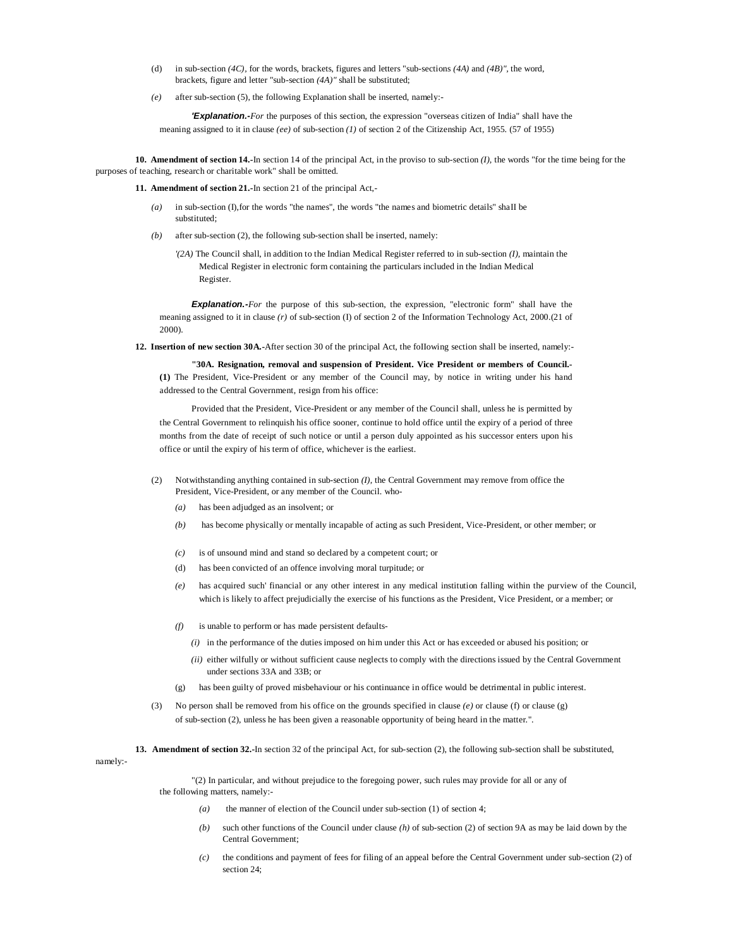- (d) in sub-section *(4C),* for the words, brackets, figures and letters "sub-sections *(4A)* and *(4B)",* the word, brackets, figure and letter "sub-section *(4A)"* shall be substituted;
- *(e)* after sub-section (5), the following Explanation shall be inserted, namely:-

*'Explanation.-For* the purposes of this section, the expression "overseas citizen of India" shall have the meaning assigned to it in clause *(ee)* of sub-section *(1)* of section 2 of the Citizenship Act, 1955. (57 of 1955)

**10. Amendment of section 14.-**In section 14 of the principal Act, in the proviso to sub-section *(I),* the words "for the time being for the purposes of teaching, research or charitable work" shall be omitted.

**11. Amendment of section 21.-**In section 21 of the principal Act,-

- *(a)* in sub-section (I),for the words "the names", the words "the names and biometric details" shaII be substituted;
- *(b)* after sub-section (2), the following sub-section shall be inserted, namely:
	- *'(2A)* The Council shall, in addition to the Indian Medical Register referred to in sub-section *(I),* maintain the Medical Register in electronic form containing the particulars included in the Indian Medical Register.

*Explanation.-For* the purpose of this sub-section, the expression, "electronic form" shall have the meaning assigned to it in clause *(r)* of sub-section (I) of section 2 of the Information Technology Act, 2000.(21 of 2000).

**12. Insertion of new section 30A.-**After section 30 of the principal Act, the foIIowing section shall be inserted, namely:-

**"30A. Resignation, removal and suspension of President. Vice President or members of Council.- (1)** The President, Vice-President or any member of the Council may, by notice in writing under his hand addressed to the Central Government, resign from his office:

Provided that the President, Vice-President or any member of the Council shall, unless he is permitted by the Central Government to relinquish his office sooner, continue to hold office until the expiry of a period of three months from the date of receipt of such notice or until a person duly appointed as his successor enters upon his office or until the expiry of his term of office, whichever is the earliest.

- (2) Notwithstanding anything contained in sub-section *(I),* the Central Government may remove from office the President, Vice-President, or any member of the Council. who-
	- *(a)* has been adjudged as an insolvent; or
	- *(b)* has become physically or mentally incapable of acting as such President, Vice-President, or other member; or
	- *(c)* is of unsound mind and stand so declared by a competent court; or
	- (d) has been convicted of an offence involving moral turpitude; or
	- *(e)* has acquired such' financial or any other interest in any medical institution falling within the purview of the Council, which is likely to affect prejudicially the exercise of his functions as the President, Vice President, or a member; or
	- *(f)* is unable to perform or has made persistent defaults-
		- *(i)* in the performance of the duties imposed on him under this Act or has exceeded or abused his position; or
		- *(ii)* either wilfully or without sufficient cause neglects to comply with the directions issued by the Central Government under sections 33A and 33B; or
	- (g) has been guilty of proved misbehaviour or his continuance in office would be detrimental in public interest.
- (3) No person shall be removed from his office on the grounds specified in clause *(e)* or clause (f) or clause (g) of sub-section (2), unless he has been given a reasonable opportunity of being heard in the matter.".

**13. Amendment of section 32.-**In section 32 of the principal Act, for sub-section (2), the following sub-section shall be substituted,

namely:-

"(2) In particular, and without prejudice to the foregoing power, such rules may provide for all or any of the following matters, namely:-

- *(a)* the manner of election of the Council under sub-section (1) of section 4;
- *(b)* such other functions of the Council under clause *(h)* of sub-section (2) of section 9A as may be laid down by the Central Government;
- *(c)* the conditions and payment of fees for filing of an appeal before the Central Government under sub-section (2) of section 24;